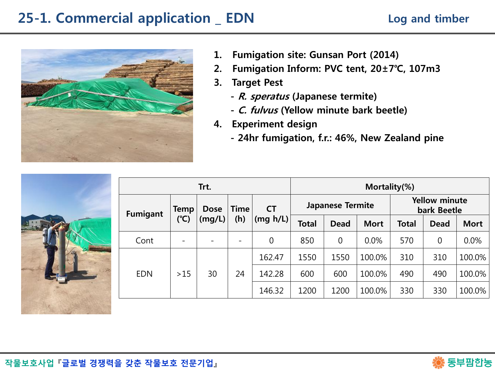# 25-1. Commercial application \_ EDN



- 1. Fumigation site: Gunsan Port (2014)
- 2. Fumigation Inform: PVC tent, 20±7℃, 107m3
- 3. Target Pest
	- R. speratus (Japanese termite)
	- C. fulvus (Yellow minute bark beetle)
- 4. Experiment design
	- 24hr fumigation, f.r.: 46%, New Zealand pine

|                 | Trt.                |        |             |           | Mortality(%)            |             |             |                                     |             |             |  |
|-----------------|---------------------|--------|-------------|-----------|-------------------------|-------------|-------------|-------------------------------------|-------------|-------------|--|
| <b>Fumigant</b> | <b>Dose</b><br>Temp |        | <b>Time</b> | <b>CT</b> | <b>Japanese Termite</b> |             |             | <b>Yellow minute</b><br>bark Beetle |             |             |  |
|                 | $(^{\circ}C)$       | (mg/L) | (h)         | (mg h/L)  | <b>Total</b>            | <b>Dead</b> | <b>Mort</b> | <b>Total</b>                        | <b>Dead</b> | <b>Mort</b> |  |
| Cont            |                     |        |             | 0         | 850                     | $\mathbf 0$ | 0.0%        | 570                                 | $\mathbf 0$ | 0.0%        |  |
| <b>EDN</b>      | >15                 | 30     | 24          | 162.47    | 1550                    | 1550        | 100.0%      | 310                                 | 310         | 100.0%      |  |
|                 |                     |        |             | 142.28    | 600                     | 600         | 100.0%      | 490                                 | 490         | 100.0%      |  |
|                 |                     |        |             | 146.32    | 1200                    | 1200        | 100.0%      | 330                                 | 330         | 100.0%      |  |

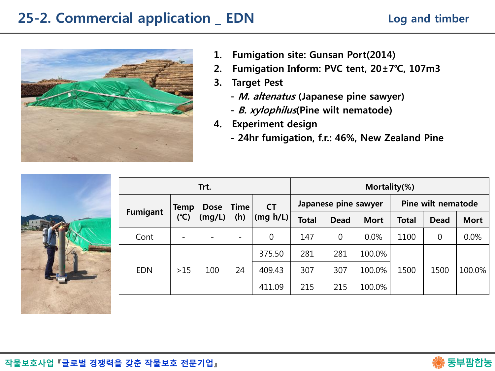# 25-2. Commercial application \_ EDN



- 1. Fumigation site: Gunsan Port(2014)
- 2. Fumigation Inform: PVC tent, 20±7℃, 107m3
- 3. Target Pest
	- M. altenatus (Japanese pine sawyer)
	- B. xylophilus(Pine wilt nematode)
- 4. Experiment design
	- 24hr fumigation, f.r.: 46%, New Zealand Pine



| Trt.            |      |             |                          |                | Mortality(%)         |                |             |                    |      |             |
|-----------------|------|-------------|--------------------------|----------------|----------------------|----------------|-------------|--------------------|------|-------------|
|                 | Temp | <b>Dose</b> | <b>Time</b>              | <b>CT</b>      | Japanese pine sawyer |                |             | Pine wilt nematode |      |             |
| <b>Fumigant</b> | (C)  | (mg/L)      | (h)                      | (mg h/L)       | <b>Total</b>         | <b>Dead</b>    | <b>Mort</b> | <b>Total</b>       | Dead | <b>Mort</b> |
| Cont            |      |             | $\overline{\phantom{0}}$ | $\overline{0}$ | 147                  | $\overline{0}$ | $0.0\%$     | 1100               | 0    | 0.0%        |
|                 |      |             |                          | 375.50         | 281                  | 281            | 100.0%      |                    |      |             |
| <b>EDN</b>      | >15  | 100         | 24                       | 409.43         | 307                  | 307            | 100.0%      | 1500               | 1500 | 100.0%      |
|                 |      |             |                          | 411.09         | 215                  | 215            | 100.0%      |                    |      |             |

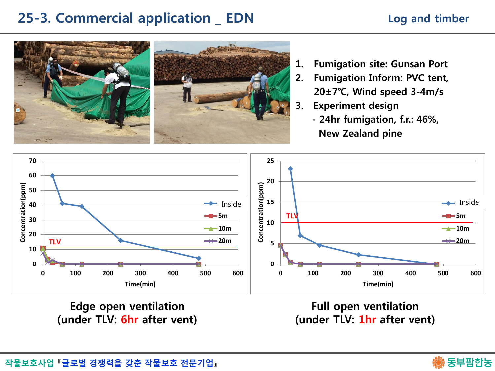#### 25-3. Commercial application \_ EDN

#### Log and timber



- 1. Fumigation site: Gunsan Port
- 2. Fumigation Inform: PVC tent, 20±7℃, Wind speed 3-4m/s
- 3. Experiment design
	- 24hr fumigation, f.r.: 46%, New Zealand pine



Edge open ventilation (under TLV: 6hr after vent)

Full open ventilation (under TLV: 1hr after vent)

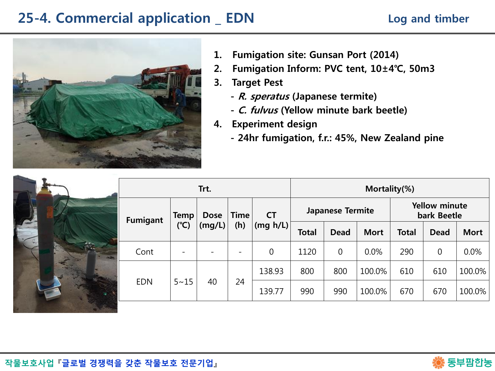# 25-4. Commercial application \_ EDN



- 1. Fumigation site: Gunsan Port (2014)
- 2. Fumigation Inform: PVC tent, 10±4℃, 50m3
- 3. Target Pest
	- R. speratus (Japanese termite)
	- C. fulvus (Yellow minute bark beetle)
- 4. Experiment design
	- 24hr fumigation, f.r.: 45%, New Zealand pine



| Trt.        |                           |                          |                       |       | Mortality(%)   |             |                                     |             |             |  |  |
|-------------|---------------------------|--------------------------|-----------------------|-------|----------------|-------------|-------------------------------------|-------------|-------------|--|--|
| <b>Temp</b> | <b>Dose</b>               | <b>Time</b><br>(h)       | <b>CT</b><br>(mg h/L) |       |                |             | <b>Yellow minute</b><br>bark Beetle |             |             |  |  |
|             |                           |                          |                       | Total | <b>Dead</b>    | <b>Mort</b> | Total                               | <b>Dead</b> | <b>Mort</b> |  |  |
|             |                           | $\overline{\phantom{m}}$ | $\overline{0}$        | 1120  | $\overline{0}$ | 0.0%        | 290                                 | 0           | 0.0%        |  |  |
|             | 40                        | 24                       | 138.93                | 800   | 800            | 100.0%      | 610                                 | 610         | 100.0%      |  |  |
|             |                           |                          | 139.77                | 990   | 990            | 100.0%      | 670                                 | 670         | 100.0%      |  |  |
|             | $(^{\circ}C)$<br>$5 - 15$ | (mg/L)                   |                       |       |                |             | <b>Japanese Termite</b>             |             |             |  |  |



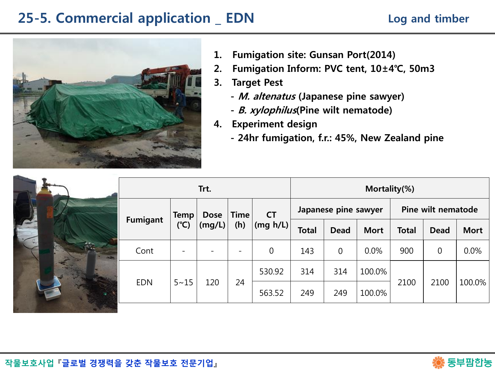### 25-5. Commercial application \_ EDN



- 1. Fumigation site: Gunsan Port(2014)
- 2. Fumigation Inform: PVC tent, 10±4℃, 50m3
- 3. Target Pest
	- M. altenatus (Japanese pine sawyer)
	- B. xylophilus(Pine wilt nematode)
- 4. Experiment design
	- 24hr fumigation, f.r.: 45%, New Zealand pine

| Trt.       |             |                       |                          |                       | Mortality(%)         |                |             |                    |             |             |  |
|------------|-------------|-----------------------|--------------------------|-----------------------|----------------------|----------------|-------------|--------------------|-------------|-------------|--|
| Fumigant   | Temp<br>(C) | <b>Dose</b><br>(mg/L) | <b>Time</b><br>(h)       | <b>CT</b><br>(mg h/L) | Japanese pine sawyer |                |             | Pine wilt nematode |             |             |  |
|            |             |                       |                          |                       | <b>Total</b>         | <b>Dead</b>    | <b>Mort</b> | <b>Total</b>       | <b>Dead</b> | <b>Mort</b> |  |
| Cont       |             |                       | $\overline{\phantom{a}}$ | 0                     | 143                  | $\overline{0}$ | 0.0%        | 900                | $\mathbf 0$ | 0.0%        |  |
|            |             |                       |                          | 530.92                | 314                  | 314            | 100.0%      |                    | 2100        | 100.0%      |  |
| <b>EDN</b> | $5 - 15$    | 120                   | 24                       | 563.52                | 249                  | 249            | 100.0%      | 2100               |             |             |  |

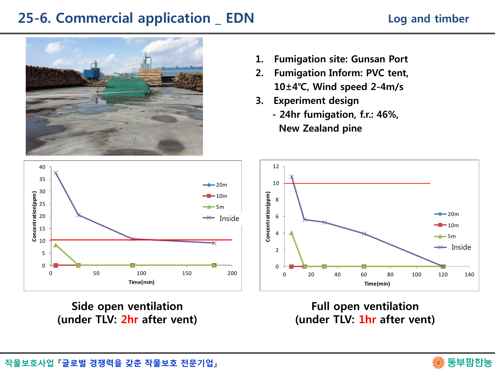# 25-6. Commercial application \_ EDN



- 1. Fumigation site: Gunsan Port
- 2. Fumigation Inform: PVC tent, 10±4℃, Wind speed 2-4m/s
- 3. Experiment design
	- 24hr fumigation, f.r.: 46%, New Zealand pine



Side open ventilation (under TLV: 2hr after vent)



Full open ventilation (under TLV: 1hr after vent)

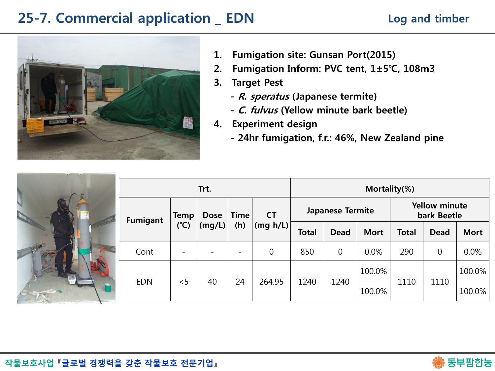# 25-7. Commercial application \_ EDN



- 1. Fumigation site: Gunsan Port(2015)
- 2. Fumigation Inform: PVC tent, 1±5℃, 108m3
- 3. Target Pest
	- R. speratus (Japanese termite)
	- C. fulvus (Yellow minute bark beetle)
- 4. Experiment design
	- 24hr fumigation, f.r.: 46%, New Zealand pine

| O |  | <b>ALLING</b> |
|---|--|---------------|
|   |  |               |

|                 | Trt.          |             |             |                       |              | Mortality(%)            |             |                                     |             |             |  |  |
|-----------------|---------------|-------------|-------------|-----------------------|--------------|-------------------------|-------------|-------------------------------------|-------------|-------------|--|--|
| <b>Fumigant</b> | Temp          | <b>Dose</b> | <b>Time</b> | <b>CT</b><br>(mg h/L) |              | <b>Japanese Termite</b> |             | <b>Yellow minute</b><br>bark Beetle |             |             |  |  |
|                 | $(^{\circ}C)$ | (mg/L)      | (h)         |                       | <b>Total</b> | <b>Dead</b>             | <b>Mort</b> | <b>Total</b>                        | <b>Dead</b> | <b>Mort</b> |  |  |
| Cont            |               |             |             | 0                     | 850          | $\overline{0}$          | 0.0%        | 290                                 | 0           | 0.0%        |  |  |
|                 | < 5           | 40          | 24          | 264.95                | 1240         | 1240                    | 100.0%      |                                     | 1110        | 100.0%      |  |  |
| <b>EDN</b>      |               |             |             |                       |              |                         | 100.0%      | 1110                                |             | 100.0%      |  |  |

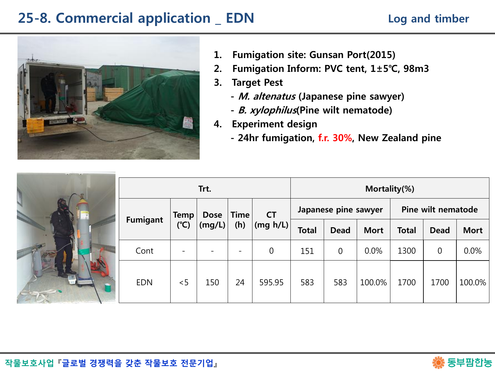# 25-8. Commercial application \_ EDN



- 1. Fumigation site: Gunsan Port(2015)
- 2. Fumigation Inform: PVC tent, 1±5℃, 98m3
- 3. Target Pest
	- M. altenatus (Japanese pine sawyer)
	- B. xylophilus(Pine wilt nematode)
- 4. Experiment design
	- 24hr fumigation, f.r. 30%, New Zealand pine

| <b>Titulian</b> |  | <b>AND</b>   |
|-----------------|--|--------------|
| <b>Allega</b>   |  | <b>JULIA</b> |
|                 |  |              |

|                 | Trt.                         |             |                          |                       |              | Mortality(%)         |             |                    |             |             |  |
|-----------------|------------------------------|-------------|--------------------------|-----------------------|--------------|----------------------|-------------|--------------------|-------------|-------------|--|
| <b>Fumigant</b> | <b>Temp</b><br>$(^{\circ}C)$ | <b>Dose</b> | <b>Time</b><br>(h)       | <b>CT</b><br>(mg h/L) |              | Japanese pine sawyer |             | Pine wilt nematode |             |             |  |
|                 |                              | (mg/L)      |                          |                       | <b>Total</b> | <b>Dead</b>          | <b>Mort</b> | <b>Total</b>       | Dead        | <b>Mort</b> |  |
| Cont            | $\overline{\phantom{0}}$     |             | $\overline{\phantom{0}}$ | $\boldsymbol{0}$      | 151          | $\mathbf 0$          | 0.0%        | 1300               | $\mathbf 0$ | 0.0%        |  |
| <b>EDN</b>      | < 5                          | 150         | 24                       | 595.95                | 583          | 583                  | 100.0%      | 1700               | 1700        | 100.0%      |  |